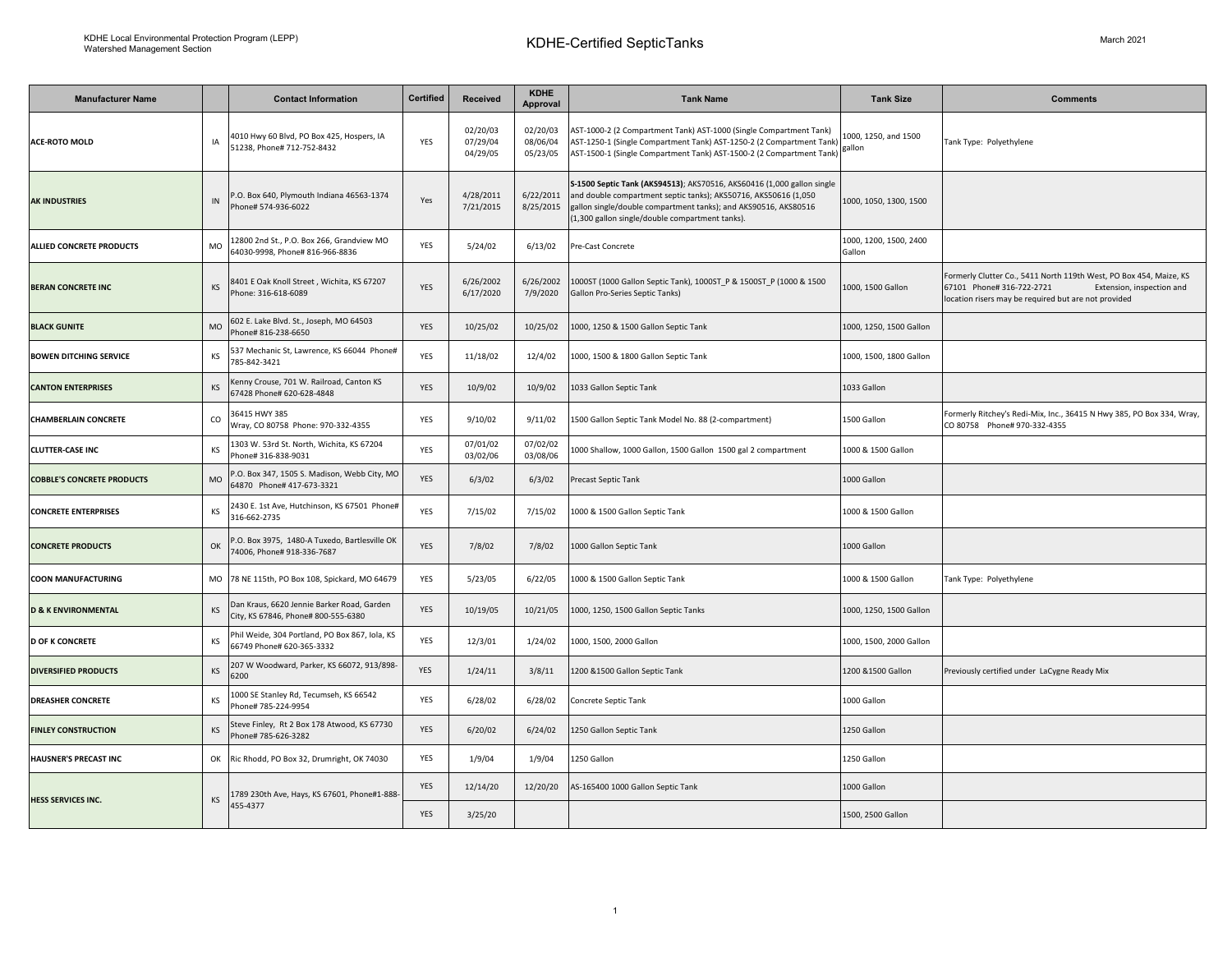| <b>Manufacturer Name</b>          |    | <b>Contact Information</b>                                                                     | Certified  | <b>Received</b>                  | <b>KDHE</b><br><b>Approval</b>   | <b>Tank Name</b>                                                                                                                                                                                                                                                | <b>Tank Size</b>                 | <b>Comments</b>                                                                                                                                                                      |
|-----------------------------------|----|------------------------------------------------------------------------------------------------|------------|----------------------------------|----------------------------------|-----------------------------------------------------------------------------------------------------------------------------------------------------------------------------------------------------------------------------------------------------------------|----------------------------------|--------------------------------------------------------------------------------------------------------------------------------------------------------------------------------------|
| <b>ACE-ROTO MOLD</b>              | IA | 4010 Hwy 60 Blvd, PO Box 425, Hospers, IA<br>51238, Phone# 712-752-8432                        | YES        | 02/20/03<br>07/29/04<br>04/29/05 | 02/20/03<br>08/06/04<br>05/23/05 | AST-1000-2 (2 Compartment Tank) AST-1000 (Single Compartment Tank)<br>AST-1250-1 (Single Compartment Tank) AST-1250-2 (2 Compartment Tank)<br>AST-1500-1 (Single Compartment Tank) AST-1500-2 (2 Compartment Tank)                                              | 1000, 1250, and 1500<br>gallon   | Tank Type: Polyethylene                                                                                                                                                              |
| <b>AK INDUSTRIES</b>              | IN | P.O. Box 640, Plymouth Indiana 46563-1374<br>Phone# 574-936-6022                               | Yes        | 4/28/2011<br>7/21/2015           | 6/22/2011<br>8/25/2015           | S-1500 Septic Tank (AKS94513); AKS70516, AKS60416 (1,000 gallon single<br>and double compartment septic tanks); AKS50716, AKS50616 (1,050<br>gallon single/double compartment tanks); and AKS90516, AKS80516<br>(1,300 gallon single/double compartment tanks). | 1000, 1050, 1300, 1500           |                                                                                                                                                                                      |
| ALLIED CONCRETE PRODUCTS          | MO | 12800 2nd St., P.O. Box 266, Grandview MO<br>64030-9998, Phone# 816-966-8836                   | YES        | 5/24/02                          | 6/13/02                          | Pre-Cast Concrete                                                                                                                                                                                                                                               | 1000, 1200, 1500, 2400<br>Gallon |                                                                                                                                                                                      |
| <b>BERAN CONCRETE INC</b>         | KS | 8401 E Oak Knoll Street, Wichita, KS 67207<br>Phone: 316-618-6089                              | YES        | 6/26/2002<br>6/17/2020           | 6/26/2002<br>7/9/2020            | 1000ST (1000 Gallon Septic Tank), 1000ST_P & 1500ST_P (1000 & 1500<br>Gallon Pro-Series Septic Tanks)                                                                                                                                                           | 1000, 1500 Gallon                | Formerly Clutter Co., 5411 North 119th West, PO Box 454, Maize, KS<br>67101 Phone# 316-722-2721<br>Extension, inspection and<br>location risers may be required but are not provided |
| <b>BLACK GUNITE</b>               | MO | 602 E. Lake Blvd. St., Joseph, MO 64503<br>Phone# 816-238-6650                                 | YES        | 10/25/02                         | 10/25/02                         | 1000, 1250 & 1500 Gallon Septic Tank                                                                                                                                                                                                                            | 1000, 1250, 1500 Gallon          |                                                                                                                                                                                      |
| <b>BOWEN DITCHING SERVICE</b>     | KS | 537 Mechanic St, Lawrence, KS 66044 Phone#<br>785-842-3421                                     | YES        | 11/18/02                         | 12/4/02                          | 1000, 1500 & 1800 Gallon Septic Tank                                                                                                                                                                                                                            | 1000, 1500, 1800 Gallon          |                                                                                                                                                                                      |
| <b>CANTON ENTERPRISES</b>         | KS | <enny 701="" canton="" crouse,="" ks<br="" railroad,="" w.="">67428 Phone# 620-628-4848</enny> | YES        | 10/9/02                          | 10/9/02                          | 1033 Gallon Septic Tank                                                                                                                                                                                                                                         | 1033 Gallon                      |                                                                                                                                                                                      |
| <b>CHAMBERLAIN CONCRETE</b>       | CO | 36415 HWY 385<br>Wray, CO 80758 Phone: 970-332-4355                                            | YES        | 9/10/02                          | 9/11/02                          | 1500 Gallon Septic Tank Model No. 88 (2-compartment)                                                                                                                                                                                                            | 1500 Gallon                      | Formerly Ritchey's Redi-Mix, Inc., 36415 N Hwy 385, PO Box 334, Wray,<br>CO 80758 Phone# 970-332-4355                                                                                |
| <b>CLUTTER-CASE INC</b>           | KS | 1303 W. 53rd St. North, Wichita, KS 67204<br>Phone# 316-838-9031                               | YES        | 07/01/02<br>03/02/06             | 07/02/02<br>03/08/06             | 1000 Shallow, 1000 Gallon, 1500 Gallon 1500 gal 2 compartment                                                                                                                                                                                                   | 1000 & 1500 Gallon               |                                                                                                                                                                                      |
| <b>COBBLE'S CONCRETE PRODUCTS</b> | MO | P.O. Box 347, 1505 S. Madison, Webb City, MO<br>64870 Phone# 417-673-3321                      | YES        | 6/3/02                           | 6/3/02                           | Precast Septic Tank                                                                                                                                                                                                                                             | 1000 Gallon                      |                                                                                                                                                                                      |
| <b>CONCRETE ENTERPRISES</b>       | KS | 2430 E. 1st Ave, Hutchinson, KS 67501 Phone#<br>316-662-2735                                   | <b>YES</b> | 7/15/02                          | 7/15/02                          | 1000 & 1500 Gallon Septic Tank                                                                                                                                                                                                                                  | 1000 & 1500 Gallon               |                                                                                                                                                                                      |
| <b>CONCRETE PRODUCTS</b>          | OK | .O. Box 3975, 1480-A Tuxedo, Bartlesville OK<br>74006. Phone# 918-336-7687                     | YES        | 7/8/02                           | 7/8/02                           | 1000 Gallon Septic Tank                                                                                                                                                                                                                                         | 1000 Gallon                      |                                                                                                                                                                                      |
| <b>COON MANUFACTURING</b>         |    | MO 78 NE 115th, PO Box 108, Spickard, MO 64679                                                 | YES        | 5/23/05                          | 6/22/05                          | 1000 & 1500 Gallon Septic Tank                                                                                                                                                                                                                                  | 1000 & 1500 Gallon               | Tank Type: Polyethylene                                                                                                                                                              |
| <b>D &amp; K ENVIRONMENTAL</b>    | KS | Dan Kraus, 6620 Jennie Barker Road, Garden<br>City, KS 67846, Phone# 800-555-6380              | YES        | 10/19/05                         | 10/21/05                         | 1000, 1250, 1500 Gallon Septic Tanks                                                                                                                                                                                                                            | 1000, 1250, 1500 Gallon          |                                                                                                                                                                                      |
| <b>D OF K CONCRETE</b>            | KS | Phil Weide, 304 Portland, PO Box 867, Iola, KS<br>66749 Phone# 620-365-3332                    | YES        | 12/3/01                          | 1/24/02                          | 1000, 1500, 2000 Gallon                                                                                                                                                                                                                                         | 1000, 1500, 2000 Gallon          |                                                                                                                                                                                      |
| <b>DIVERSIFIED PRODUCTS</b>       | KS | 207 W Woodward, Parker, KS 66072, 913/898-<br>6200                                             | <b>YES</b> | 1/24/11                          | 3/8/11                           | 1200 & 1500 Gallon Septic Tank                                                                                                                                                                                                                                  | 1200 & 1500 Gallon               | Previously certified under LaCygne Ready Mix                                                                                                                                         |
| <b>DREASHER CONCRETE</b>          | KS | 1000 SE Stanley Rd, Tecumseh, KS 66542<br>Phone# 785-224-9954                                  | YES        | 6/28/02                          | 6/28/02                          | Concrete Septic Tank                                                                                                                                                                                                                                            | 1000 Gallon                      |                                                                                                                                                                                      |
| <b>FINLEY CONSTRUCTION</b>        | KS | Steve Finley, Rt 2 Box 178 Atwood, KS 67730<br>Phone# 785-626-3282                             | YES        | 6/20/02                          | 6/24/02                          | 1250 Gallon Septic Tank                                                                                                                                                                                                                                         | 1250 Gallon                      |                                                                                                                                                                                      |
| <b>HAUSNER'S PRECAST INC</b>      |    | OK Ric Rhodd, PO Box 32, Drumright, OK 74030                                                   | YES        | 1/9/04                           | 1/9/04                           | 1250 Gallon                                                                                                                                                                                                                                                     | 1250 Gallon                      |                                                                                                                                                                                      |
| HESS SERVICES INC.                | KS | 789 230th Ave, Hays, KS 67601, Phone#1-888<br>455-4377                                         | YES        | 12/14/20                         | 12/20/20                         | AS-165400 1000 Gallon Septic Tank                                                                                                                                                                                                                               | 1000 Gallon                      |                                                                                                                                                                                      |
|                                   |    |                                                                                                | YES        | 3/25/20                          |                                  |                                                                                                                                                                                                                                                                 | 1500, 2500 Gallon                |                                                                                                                                                                                      |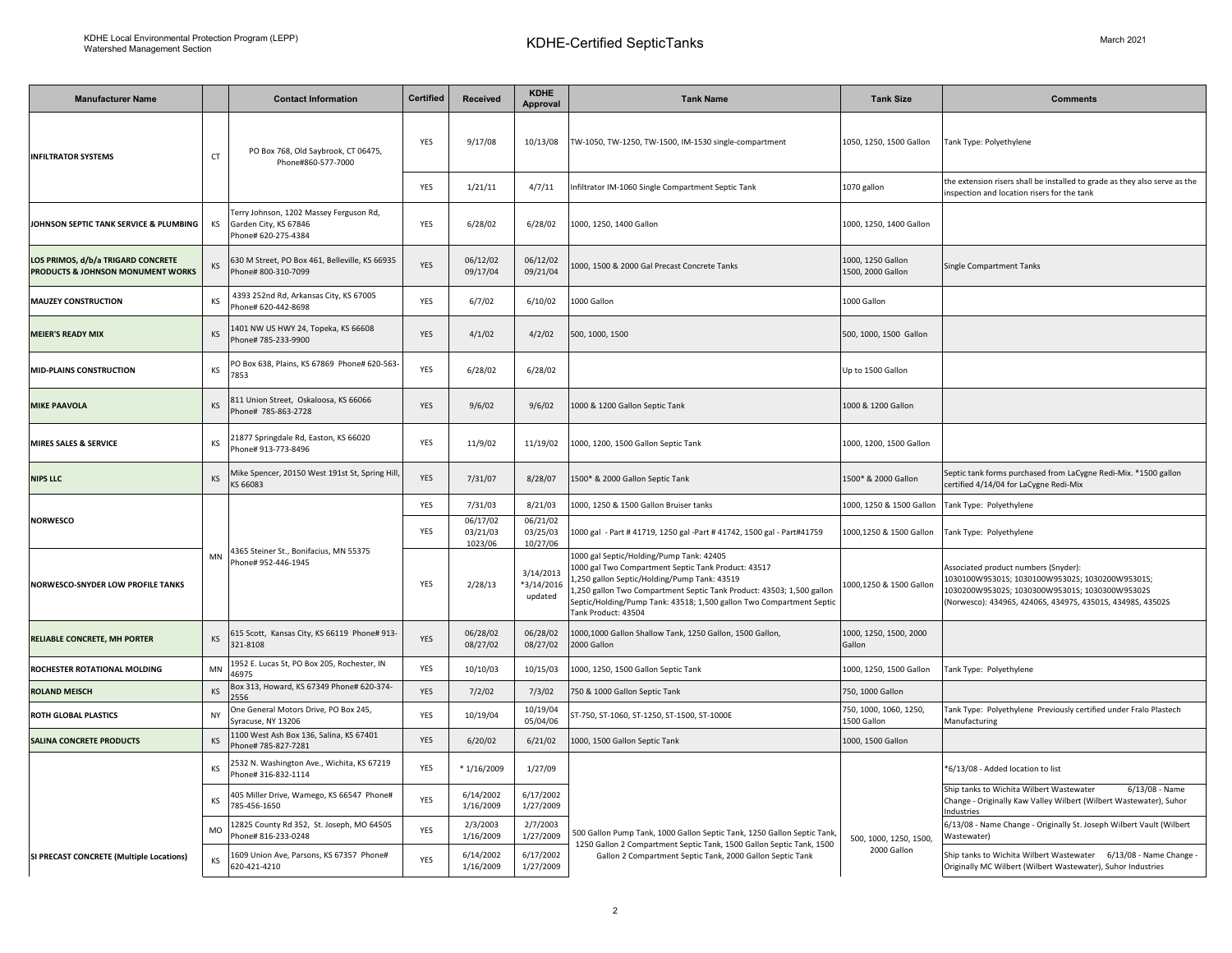| <b>Manufacturer Name</b>                                                |           | <b>Contact Information</b>                                                              | <b>Certified</b>                                      | <b>Received</b>                                                                                                                                 | <b>KDHE</b><br><b>Approval</b>     | <b>Tank Name</b>                                                                                                                                                                                                                                                                                                       | <b>Tank Size</b>                       | <b>Comments</b>                                                                                                                                                                                        |
|-------------------------------------------------------------------------|-----------|-----------------------------------------------------------------------------------------|-------------------------------------------------------|-------------------------------------------------------------------------------------------------------------------------------------------------|------------------------------------|------------------------------------------------------------------------------------------------------------------------------------------------------------------------------------------------------------------------------------------------------------------------------------------------------------------------|----------------------------------------|--------------------------------------------------------------------------------------------------------------------------------------------------------------------------------------------------------|
| <b>INFILTRATOR SYSTEMS</b>                                              | CT        | PO Box 768, Old Saybrook, CT 06475,<br>Phone#860-577-7000                               | YES                                                   | 9/17/08                                                                                                                                         | 10/13/08                           | TW-1050, TW-1250, TW-1500, IM-1530 single-compartment                                                                                                                                                                                                                                                                  | 1050, 1250, 1500 Gallon                | Tank Type: Polyethylene                                                                                                                                                                                |
|                                                                         |           |                                                                                         | YES                                                   | 1/21/11                                                                                                                                         | 4/7/11                             | Infiltrator IM-1060 Single Compartment Septic Tank                                                                                                                                                                                                                                                                     | 1070 gallon                            | the extension risers shall be installed to grade as they also serve as the<br>nspection and location risers for the tank                                                                               |
| JOHNSON SEPTIC TANK SERVICE & PLUMBING                                  | KS        | Terry Johnson, 1202 Massey Ferguson Rd,<br>Garden City, KS 67846<br>Phone# 620-275-4384 | YES                                                   | 6/28/02                                                                                                                                         | 6/28/02                            | 1000, 1250, 1400 Gallon                                                                                                                                                                                                                                                                                                | 1000, 1250, 1400 Gallon                |                                                                                                                                                                                                        |
| LOS PRIMOS, d/b/a TRIGARD CONCRETE<br>PRODUCTS & JOHNSON MONUMENT WORKS | ΚS        | 630 M Street, PO Box 461, Belleville, KS 66935<br>Phone# 800-310-7099                   | YES                                                   | 06/12/02<br>09/17/04                                                                                                                            | 06/12/02<br>09/21/04               | 1000, 1500 & 2000 Gal Precast Concrete Tanks                                                                                                                                                                                                                                                                           | 1000, 1250 Gallon<br>1500, 2000 Gallon | <b>Single Compartment Tanks</b>                                                                                                                                                                        |
| <b>MAUZEY CONSTRUCTION</b>                                              | KS        | 4393 252nd Rd, Arkansas City, KS 67005<br>Phone# 620-442-8698                           | YES                                                   | 6/7/02                                                                                                                                          | 6/10/02                            | 1000 Gallon                                                                                                                                                                                                                                                                                                            | 1000 Gallon                            |                                                                                                                                                                                                        |
| <b>MEIER'S READY MIX</b>                                                | KS        | 401 NW US HWY 24, Topeka, KS 66608<br>hone# 785-233-9900                                | YES                                                   | 4/1/02                                                                                                                                          | 4/2/02                             | 500, 1000, 1500                                                                                                                                                                                                                                                                                                        | 500, 1000, 1500 Gallon                 |                                                                                                                                                                                                        |
| <b>MID-PLAINS CONSTRUCTION</b>                                          | KS        | O Box 638, Plains, KS 67869 Phone# 620-563<br>7853                                      | <b>YES</b>                                            | 6/28/02                                                                                                                                         | 6/28/02                            |                                                                                                                                                                                                                                                                                                                        | Up to 1500 Gallon                      |                                                                                                                                                                                                        |
| <b>MIKE PAAVOLA</b>                                                     | KS        | 811 Union Street, Oskaloosa, KS 66066<br>hone# 785-863-2728                             | YES                                                   | 9/6/02                                                                                                                                          | 9/6/02                             | 1000 & 1200 Gallon Septic Tank                                                                                                                                                                                                                                                                                         | 1000 & 1200 Gallon                     |                                                                                                                                                                                                        |
| MIRES SALES & SERVICE                                                   | KS        | 1877 Springdale Rd, Easton, KS 66020<br>Phone# 913-773-8496                             | YES                                                   | 11/9/02                                                                                                                                         | 11/19/02                           | 1000, 1200, 1500 Gallon Septic Tank                                                                                                                                                                                                                                                                                    | 1000, 1200, 1500 Gallon                |                                                                                                                                                                                                        |
| <b>NIPS LLC</b>                                                         | <b>KS</b> | Mike Spencer, 20150 West 191st St, Spring Hill<br>KS 66083                              | YES                                                   | 7/31/07                                                                                                                                         | 8/28/07                            | 1500* & 2000 Gallon Septic Tank                                                                                                                                                                                                                                                                                        | 1500* & 2000 Gallon                    | Septic tank forms purchased from LaCygne Redi-Mix. *1500 gallon<br>certified 4/14/04 for LaCygne Redi-Mix                                                                                              |
| <b>NORWESCO</b>                                                         |           | 4365 Steiner St., Bonifacius, MN 55375<br>Phone# 952-446-1945                           | YES                                                   | 7/31/03                                                                                                                                         | 8/21/03                            | 1000, 1250 & 1500 Gallon Bruiser tanks                                                                                                                                                                                                                                                                                 | 1000, 1250 & 1500 Gallon               | Tank Type: Polyethylene                                                                                                                                                                                |
|                                                                         |           |                                                                                         | YES                                                   | 06/17/02<br>03/21/03<br>1023/06                                                                                                                 | 06/21/02<br>03/25/03<br>10/27/06   | 1000 gal - Part # 41719, 1250 gal -Part # 41742, 1500 gal - Part#41759                                                                                                                                                                                                                                                 | 1000,1250 & 1500 Gallon                | Tank Type: Polyethylene                                                                                                                                                                                |
| <b>NORWESCO-SNYDER LOW PROFILE TANKS</b>                                | MN        |                                                                                         | YES                                                   | 2/28/13                                                                                                                                         | 3/14/2013<br>*3/14/2016<br>updated | 1000 gal Septic/Holding/Pump Tank: 42405<br>1000 gal Two Compartment Septic Tank Product: 43517<br>,250 gallon Septic/Holding/Pump Tank: 43519<br>.,250 gallon Two Compartment Septic Tank Product: 43503; 1,500 gallon<br>Septic/Holding/Pump Tank: 43518; 1,500 gallon Two Compartment Septic<br>Tank Product: 43504 | 1000,1250 & 1500 Gallon                | Associated product numbers (Snyder):<br>1030100W95301S; 1030100W95302S; 1030200W95301S;<br>1030200W95302S; 1030300W95301S; 1030300W95302S<br>Norwesco): 43496S, 42406S, 43497S, 43501S, 43498S, 43502S |
| RELIABLE CONCRETE, MH PORTER                                            | KS        | 515 Scott, Kansas City, KS 66119 Phone# 913-<br>321-8108                                | YES                                                   | 06/28/02<br>08/27/02                                                                                                                            | 06/28/02<br>08/27/02               | 1000,1000 Gallon Shallow Tank, 1250 Gallon, 1500 Gallon,<br>2000 Gallon                                                                                                                                                                                                                                                | 1000, 1250, 1500, 2000<br>Gallon       |                                                                                                                                                                                                        |
| ROCHESTER ROTATIONAL MOLDING                                            | MN        | 1952 E. Lucas St, PO Box 205, Rochester, IN<br>16975                                    | YES                                                   | 10/10/03                                                                                                                                        | 10/15/03                           | 1000, 1250, 1500 Gallon Septic Tank                                                                                                                                                                                                                                                                                    | 1000, 1250, 1500 Gallon                | Tank Type: Polyethylene                                                                                                                                                                                |
| <b>ROLAND MEISCH</b>                                                    | KS        | Box 313, Howard, KS 67349 Phone# 620-374-<br>556                                        | YES                                                   | 7/2/02                                                                                                                                          | 7/3/02                             | 750 & 1000 Gallon Septic Tank                                                                                                                                                                                                                                                                                          | 750, 1000 Gallon                       |                                                                                                                                                                                                        |
| ROTH GLOBAL PLASTICS                                                    | NY        | One General Motors Drive, PO Box 245,<br>Syracuse, NY 13206                             | YES                                                   | 10/19/04                                                                                                                                        | 10/19/04<br>05/04/06               | ST-750, ST-1060, ST-1250, ST-1500, ST-1000E                                                                                                                                                                                                                                                                            | 750, 1000, 1060, 1250,<br>1500 Gallon  | Tank Type: Polyethylene Previously certified under Fralo Plastech<br>Manufacturing                                                                                                                     |
| <b>SALINA CONCRETE PRODUCTS</b>                                         | KS        | 1100 West Ash Box 136, Salina, KS 67401<br>Phone# 785-827-7281                          | YES                                                   | 6/20/02                                                                                                                                         | 6/21/02                            | 1000, 1500 Gallon Septic Tank                                                                                                                                                                                                                                                                                          | 1000, 1500 Gallon                      |                                                                                                                                                                                                        |
|                                                                         | ΚS        | 532 N. Washington Ave., Wichita, KS 67219<br>Phone# 316-832-1114                        | YES                                                   | $*1/16/2009$                                                                                                                                    | 1/27/09                            |                                                                                                                                                                                                                                                                                                                        |                                        | *6/13/08 - Added location to list                                                                                                                                                                      |
| SI PRECAST CONCRETE (Multiple Locations)                                | KS        | 105 Miller Drive, Wamego, KS 66547 Phone#<br>785-456-1650                               | YES                                                   | 6/14/2002<br>1/16/2009                                                                                                                          | 6/17/2002<br>1/27/2009             |                                                                                                                                                                                                                                                                                                                        |                                        | $6/13/08$ - Name<br>Ship tanks to Wichita Wilbert Wastewater<br>Change - Originally Kaw Valley Wilbert (Wilbert Wastewater), Suhor<br>Industries                                                       |
|                                                                         | MO        | 12825 County Rd 352, St. Joseph, MO 64505<br>hone# 816-233-0248                         | 2/3/2003<br>2/7/2003<br>YES<br>1/16/2009<br>1/27/2009 | 500 Gallon Pump Tank, 1000 Gallon Septic Tank, 1250 Gallon Septic Tank,<br>1250 Gallon 2 Compartment Septic Tank, 1500 Gallon Septic Tank, 1500 | 500, 1000, 1250, 1500,             | 6/13/08 - Name Change - Originally St. Joseph Wilbert Vault (Wilbert<br>Wastewater)                                                                                                                                                                                                                                    |                                        |                                                                                                                                                                                                        |
|                                                                         | KS        | 1609 Union Ave, Parsons, KS 67357 Phone#<br>620-421-4210                                | YES                                                   | 6/14/2002<br>1/16/2009                                                                                                                          | 6/17/2002<br>1/27/2009             | Gallon 2 Compartment Septic Tank, 2000 Gallon Septic Tank                                                                                                                                                                                                                                                              | 2000 Gallon                            | Ship tanks to Wichita Wilbert Wastewater 6/13/08 - Name Change<br>Originally MC Wilbert (Wilbert Wastewater), Suhor Industries                                                                         |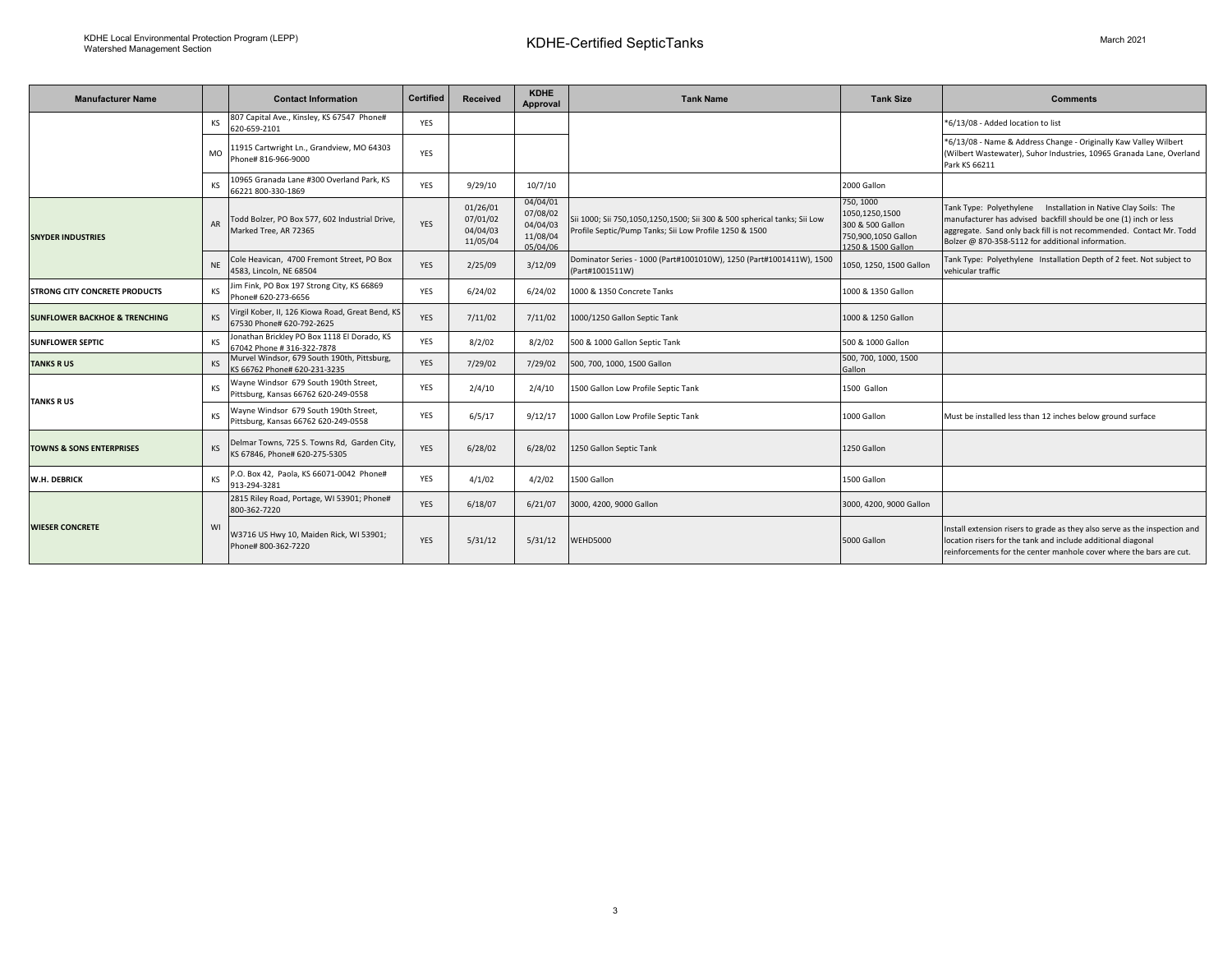$\overline{\phantom{0}}$ 

| <b>Manufacturer Name</b>                 |           | <b>Contact Information</b>                                                    | <b>Certified</b> | <b>Received</b>                              | <b>KDHE</b><br>Approval                                  | <b>Tank Name</b>                                                                                                                   | <b>Tank Size</b>                                                                             | <b>Comments</b>                                                                                                                                                                                                                                                |
|------------------------------------------|-----------|-------------------------------------------------------------------------------|------------------|----------------------------------------------|----------------------------------------------------------|------------------------------------------------------------------------------------------------------------------------------------|----------------------------------------------------------------------------------------------|----------------------------------------------------------------------------------------------------------------------------------------------------------------------------------------------------------------------------------------------------------------|
|                                          | KS        | 807 Capital Ave., Kinsley, KS 67547 Phone#<br>620-659-2101                    | <b>YES</b>       |                                              |                                                          |                                                                                                                                    |                                                                                              | *6/13/08 - Added location to list                                                                                                                                                                                                                              |
|                                          | <b>MO</b> | 11915 Cartwright Ln., Grandview, MO 64303<br>Phone# 816-966-9000              | YES              |                                              |                                                          |                                                                                                                                    |                                                                                              | *6/13/08 - Name & Address Change - Originally Kaw Valley Wilbert<br>(Wilbert Wastewater), Suhor Industries, 10965 Granada Lane, Overland<br>Park KS 66211                                                                                                      |
|                                          | <b>KS</b> | 10965 Granada Lane #300 Overland Park, KS<br>66221 800-330-1869               | <b>YES</b>       | 9/29/10                                      | 10/7/10                                                  |                                                                                                                                    | 2000 Gallon                                                                                  |                                                                                                                                                                                                                                                                |
| <b>SNYDER INDUSTRIES</b>                 | AR        | Todd Bolzer, PO Box 577, 602 Industrial Drive,<br>Marked Tree, AR 72365       | YES              | 01/26/01<br>07/01/02<br>04/04/03<br>11/05/04 | 04/04/01<br>07/08/02<br>04/04/03<br>11/08/04<br>05/04/06 | Sii 1000; Sii 750,1050,1250,1500; Sii 300 & 500 spherical tanks; Sii Low<br>Profile Septic/Pump Tanks; Sii Low Profile 1250 & 1500 | 750, 1000<br>1050,1250,1500<br>300 & 500 Gallon<br>750,900,1050 Gallon<br>1250 & 1500 Gallon | Tank Type: Polyethylene Installation in Native Clay Soils: The<br>manufacturer has advised backfill should be one (1) inch or less<br>aggregate. Sand only back fill is not recommended. Contact Mr. Todd<br>Bolzer @ 870-358-5112 for additional information. |
|                                          | <b>NF</b> | Cole Heavican, 4700 Fremont Street, PO Box<br>4583, Lincoln, NE 68504         | YES              | 2/25/09                                      | 3/12/09                                                  | Dominator Series - 1000 (Part#1001010W), 1250 (Part#1001411W), 1500<br>(Part#1001511W)                                             | 1050, 1250, 1500 Gallon                                                                      | Tank Type: Polyethylene Installation Depth of 2 feet. Not subject to<br>vehicular traffic                                                                                                                                                                      |
| <b>STRONG CITY CONCRETE PRODUCTS</b>     | <b>KS</b> | Jim Fink, PO Box 197 Strong City, KS 66869<br>Phone# 620-273-6656             | <b>YES</b>       | 6/24/02                                      | 6/24/02                                                  | 1000 & 1350 Concrete Tanks                                                                                                         | 1000 & 1350 Gallon                                                                           |                                                                                                                                                                                                                                                                |
| <b>SUNFLOWER BACKHOE &amp; TRENCHING</b> | <b>KS</b> | Virgil Kober, II, 126 Kiowa Road, Great Bend, KS<br>67530 Phone# 620-792-2625 | <b>YES</b>       | 7/11/02                                      | 7/11/02                                                  | 1000/1250 Gallon Septic Tank                                                                                                       | 1000 & 1250 Gallon                                                                           |                                                                                                                                                                                                                                                                |
| <b>SUNFLOWER SEPTIC</b>                  | <b>KS</b> | Jonathan Brickley PO Box 1118 El Dorado, KS<br>67042 Phone # 316-322-7878     | <b>YES</b>       | 8/2/02                                       | 8/2/02                                                   | 500 & 1000 Gallon Septic Tank                                                                                                      | 500 & 1000 Gallon                                                                            |                                                                                                                                                                                                                                                                |
| <b>TANKS RUS</b>                         | KS        | Murvel Windsor, 679 South 190th, Pittsburg,<br>KS 66762 Phone# 620-231-3235   | <b>YES</b>       | 7/29/02                                      | 7/29/02                                                  | 500, 700, 1000, 1500 Gallon                                                                                                        | 500, 700, 1000, 1500<br>Gallon                                                               |                                                                                                                                                                                                                                                                |
| <b>TANKS RUS</b>                         | <b>KS</b> | Wayne Windsor 679 South 190th Street,<br>Pittsburg, Kansas 66762 620-249-0558 | <b>YES</b>       | 2/4/10                                       | 2/4/10                                                   | 1500 Gallon Low Profile Septic Tank                                                                                                | 1500 Gallon                                                                                  |                                                                                                                                                                                                                                                                |
|                                          | KS        | Wayne Windsor 679 South 190th Street,<br>Pittsburg, Kansas 66762 620-249-0558 | YES              | 6/5/17                                       | 9/12/17                                                  | 1000 Gallon Low Profile Septic Tank                                                                                                | 1000 Gallon                                                                                  | Must be installed less than 12 inches below ground surface                                                                                                                                                                                                     |
| <b>TOWNS &amp; SONS ENTERPRISES</b>      | KS        | Delmar Towns, 725 S. Towns Rd, Garden City,<br>KS 67846, Phone# 620-275-5305  | <b>YES</b>       | 6/28/02                                      | 6/28/02                                                  | 1250 Gallon Septic Tank                                                                                                            | 1250 Gallon                                                                                  |                                                                                                                                                                                                                                                                |
| W.H. DEBRICK                             | KS        | P.O. Box 42, Paola, KS 66071-0042 Phone#<br>913-294-3281                      | <b>YES</b>       | 4/1/02                                       | 4/2/02                                                   | 1500 Gallon                                                                                                                        | 1500 Gallon                                                                                  |                                                                                                                                                                                                                                                                |
| <b>WIESER CONCRETE</b>                   | WI        | 2815 Riley Road, Portage, WI 53901; Phone#<br>800-362-7220                    | YES              | 6/18/07                                      | 6/21/07                                                  | 3000, 4200, 9000 Gallon                                                                                                            | 3000, 4200, 9000 Gallon                                                                      |                                                                                                                                                                                                                                                                |
|                                          |           | W3716 US Hwy 10, Maiden Rick, WI 53901;<br>Phone# 800-362-7220                | <b>YES</b>       | 5/31/12                                      | 5/31/12                                                  | <b>WEHD5000</b>                                                                                                                    | 5000 Gallon                                                                                  | Install extension risers to grade as they also serve as the inspection and<br>location risers for the tank and include additional diagonal<br>reinforcements for the center manhole cover where the bars are cut.                                              |